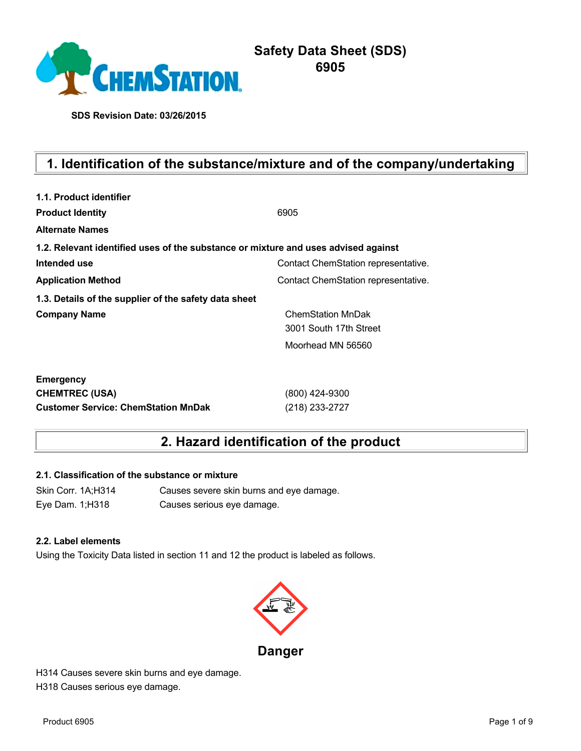

**SDS Revision Date: 03/26/2015**

# **1. Identification of the substance/mixture and of the company/undertaking**

| 1.1. Product identifier                                                            |                                     |
|------------------------------------------------------------------------------------|-------------------------------------|
| <b>Product Identity</b>                                                            | 6905                                |
| <b>Alternate Names</b>                                                             |                                     |
| 1.2. Relevant identified uses of the substance or mixture and uses advised against |                                     |
| Intended use                                                                       | Contact ChemStation representative. |
| <b>Application Method</b>                                                          | Contact ChemStation representative. |
| 1.3. Details of the supplier of the safety data sheet                              |                                     |
| <b>Company Name</b>                                                                | <b>ChemStation MnDak</b>            |
|                                                                                    | 3001 South 17th Street              |
|                                                                                    | Moorhead MN 56560                   |
| <b>Emergency</b>                                                                   |                                     |
| <b>CHEMTREC (USA)</b>                                                              | (800) 424-9300                      |
| <b>Customer Service: ChemStation MnDak</b>                                         | (218) 233-2727                      |

# **2. Hazard identification of the product**

#### **2.1. Classification of the substance or mixture**

Skin Corr. 1A;H314 Causes severe skin burns and eye damage. Eye Dam. 1;H318 Causes serious eye damage.

#### **2.2. Label elements**

Using the Toxicity Data listed in section 11 and 12 the product is labeled as follows.



H314 Causes severe skin burns and eye damage. H318 Causes serious eye damage.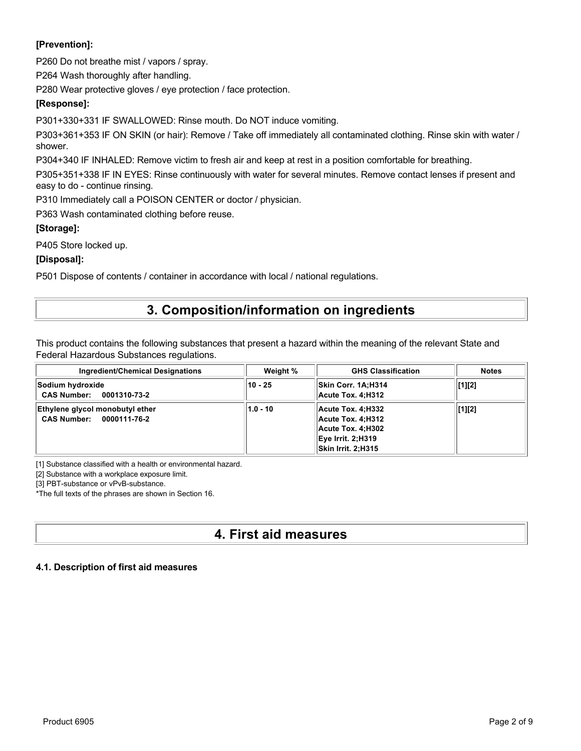# **[Prevention]:**

P260 Do not breathe mist / vapors / spray.

P264 Wash thoroughly after handling.

P280 Wear protective gloves / eye protection / face protection.

## **[Response]:**

P301+330+331 IF SWALLOWED: Rinse mouth. Do NOT induce vomiting.

P303+361+353 IF ON SKIN (or hair): Remove / Take off immediately all contaminated clothing. Rinse skin with water / shower.

P304+340 IF INHALED: Remove victim to fresh air and keep at rest in a position comfortable for breathing.

P305+351+338 IF IN EYES: Rinse continuously with water for several minutes. Remove contact lenses if present and easy to do - continue rinsing.

P310 Immediately call a POISON CENTER or doctor / physician.

P363 Wash contaminated clothing before reuse.

## **[Storage]:**

P405 Store locked up.

## **[Disposal]:**

P501 Dispose of contents / container in accordance with local / national regulations.

# **3. Composition/information on ingredients**

This product contains the following substances that present a hazard within the meaning of the relevant State and Federal Hazardous Substances regulations.

| <b>Ingredient/Chemical Designations</b>                     | Weight %   | <b>GHS Classification</b>                                                                              | <b>Notes</b> |
|-------------------------------------------------------------|------------|--------------------------------------------------------------------------------------------------------|--------------|
| Sodium hydroxide<br>CAS Number: 0001310-73-2                | $10 - 25$  | Skin Corr. 1A:H314<br>Acute Tox. 4:H312                                                                | [1][2]       |
| Ethylene glycol monobutyl ether<br>CAS Number: 0000111-76-2 | $1.0 - 10$ | Acute Tox. 4:H332<br>Acute Tox. 4:H312<br>Acute Tox. 4:H302<br>Eye Irrit. 2:H319<br>Skin Irrit. 2;H315 | [1][2]       |

[1] Substance classified with a health or environmental hazard.

[2] Substance with a workplace exposure limit.

[3] PBT-substance or vPvB-substance.

\*The full texts of the phrases are shown in Section 16.

# **4. First aid measures**

## **4.1. Description of first aid measures**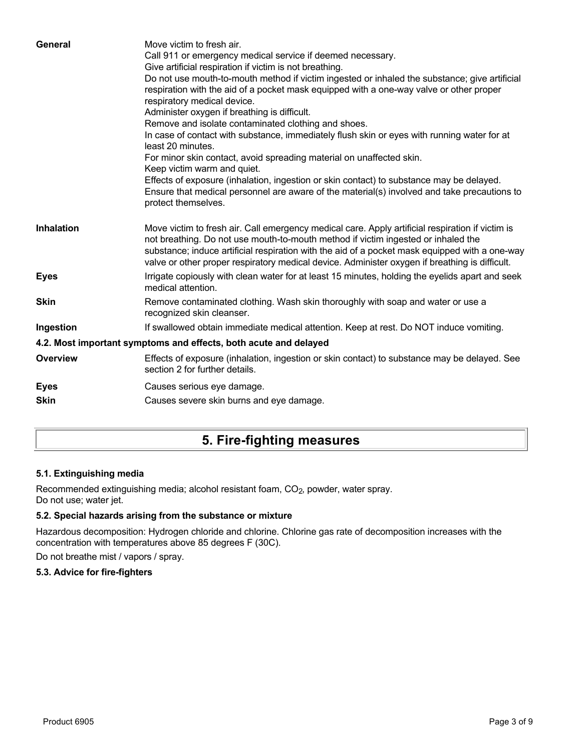| General           | Move victim to fresh air.<br>Call 911 or emergency medical service if deemed necessary.<br>Give artificial respiration if victim is not breathing.<br>Do not use mouth-to-mouth method if victim ingested or inhaled the substance; give artificial<br>respiration with the aid of a pocket mask equipped with a one-way valve or other proper<br>respiratory medical device.<br>Administer oxygen if breathing is difficult.<br>Remove and isolate contaminated clothing and shoes.<br>In case of contact with substance, immediately flush skin or eyes with running water for at<br>least 20 minutes.<br>For minor skin contact, avoid spreading material on unaffected skin.<br>Keep victim warm and quiet.<br>Effects of exposure (inhalation, ingestion or skin contact) to substance may be delayed.<br>Ensure that medical personnel are aware of the material(s) involved and take precautions to<br>protect themselves. |
|-------------------|-----------------------------------------------------------------------------------------------------------------------------------------------------------------------------------------------------------------------------------------------------------------------------------------------------------------------------------------------------------------------------------------------------------------------------------------------------------------------------------------------------------------------------------------------------------------------------------------------------------------------------------------------------------------------------------------------------------------------------------------------------------------------------------------------------------------------------------------------------------------------------------------------------------------------------------|
| <b>Inhalation</b> | Move victim to fresh air. Call emergency medical care. Apply artificial respiration if victim is<br>not breathing. Do not use mouth-to-mouth method if victim ingested or inhaled the<br>substance; induce artificial respiration with the aid of a pocket mask equipped with a one-way<br>valve or other proper respiratory medical device. Administer oxygen if breathing is difficult.                                                                                                                                                                                                                                                                                                                                                                                                                                                                                                                                         |
| <b>Eyes</b>       | Irrigate copiously with clean water for at least 15 minutes, holding the eyelids apart and seek<br>medical attention.                                                                                                                                                                                                                                                                                                                                                                                                                                                                                                                                                                                                                                                                                                                                                                                                             |
| <b>Skin</b>       | Remove contaminated clothing. Wash skin thoroughly with soap and water or use a<br>recognized skin cleanser.                                                                                                                                                                                                                                                                                                                                                                                                                                                                                                                                                                                                                                                                                                                                                                                                                      |
| Ingestion         | If swallowed obtain immediate medical attention. Keep at rest. Do NOT induce vomiting.                                                                                                                                                                                                                                                                                                                                                                                                                                                                                                                                                                                                                                                                                                                                                                                                                                            |
|                   | 4.2. Most important symptoms and effects, both acute and delayed                                                                                                                                                                                                                                                                                                                                                                                                                                                                                                                                                                                                                                                                                                                                                                                                                                                                  |
| <b>Overview</b>   | Effects of exposure (inhalation, ingestion or skin contact) to substance may be delayed. See<br>section 2 for further details.                                                                                                                                                                                                                                                                                                                                                                                                                                                                                                                                                                                                                                                                                                                                                                                                    |
| <b>Eyes</b>       | Causes serious eye damage.                                                                                                                                                                                                                                                                                                                                                                                                                                                                                                                                                                                                                                                                                                                                                                                                                                                                                                        |
| <b>Skin</b>       | Causes severe skin burns and eye damage.                                                                                                                                                                                                                                                                                                                                                                                                                                                                                                                                                                                                                                                                                                                                                                                                                                                                                          |
|                   |                                                                                                                                                                                                                                                                                                                                                                                                                                                                                                                                                                                                                                                                                                                                                                                                                                                                                                                                   |

# **5. Fire-fighting measures**

# **5.1. Extinguishing media**

Recommended extinguishing media; alcohol resistant foam, CO<sub>2</sub>, powder, water spray. Do not use; water jet.

## **5.2. Special hazards arising from the substance or mixture**

Hazardous decomposition: Hydrogen chloride and chlorine. Chlorine gas rate of decomposition increases with the concentration with temperatures above 85 degrees F (30C).

Do not breathe mist / vapors / spray.

## **5.3. Advice for fire-fighters**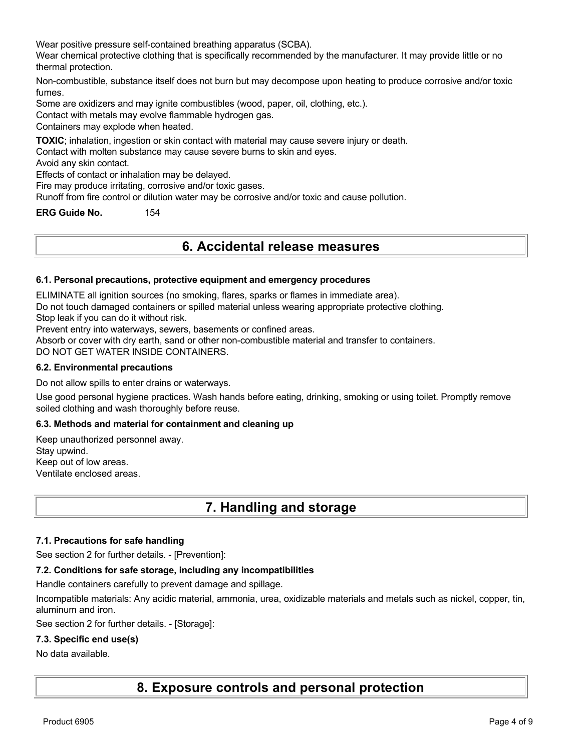Wear positive pressure self-contained breathing apparatus (SCBA).

Wear chemical protective clothing that is specifically recommended by the manufacturer. It may provide little or no thermal protection.

Non-combustible, substance itself does not burn but may decompose upon heating to produce corrosive and/or toxic fumes.

Some are oxidizers and may ignite combustibles (wood, paper, oil, clothing, etc.).

Contact with metals may evolve flammable hydrogen gas.

Containers may explode when heated.

**TOXIC**; inhalation, ingestion or skin contact with material may cause severe injury or death.

Contact with molten substance may cause severe burns to skin and eyes.

Avoid any skin contact.

Effects of contact or inhalation may be delayed.

Fire may produce irritating, corrosive and/or toxic gases.

Runoff from fire control or dilution water may be corrosive and/or toxic and cause pollution.

**ERG Guide No.** 154

# **6. Accidental release measures**

#### **6.1. Personal precautions, protective equipment and emergency procedures**

ELIMINATE all ignition sources (no smoking, flares, sparks or flames in immediate area).

Do not touch damaged containers or spilled material unless wearing appropriate protective clothing.

Stop leak if you can do it without risk.

Prevent entry into waterways, sewers, basements or confined areas.

Absorb or cover with dry earth, sand or other non-combustible material and transfer to containers.

DO NOT GET WATER INSIDE CONTAINERS.

#### **6.2. Environmental precautions**

Do not allow spills to enter drains or waterways.

Use good personal hygiene practices. Wash hands before eating, drinking, smoking or using toilet. Promptly remove soiled clothing and wash thoroughly before reuse.

#### **6.3. Methods and material for containment and cleaning up**

Keep unauthorized personnel away. Stay upwind. Keep out of low areas. Ventilate enclosed areas.

# **7. Handling and storage**

#### **7.1. Precautions for safe handling**

See section 2 for further details. - [Prevention]:

#### **7.2. Conditions for safe storage, including any incompatibilities**

Handle containers carefully to prevent damage and spillage.

Incompatible materials: Any acidic material, ammonia, urea, oxidizable materials and metals such as nickel, copper, tin, aluminum and iron.

See section 2 for further details. - [Storage]:

#### **7.3. Specific end use(s)**

#### No data available.

**8. Exposure controls and personal protection**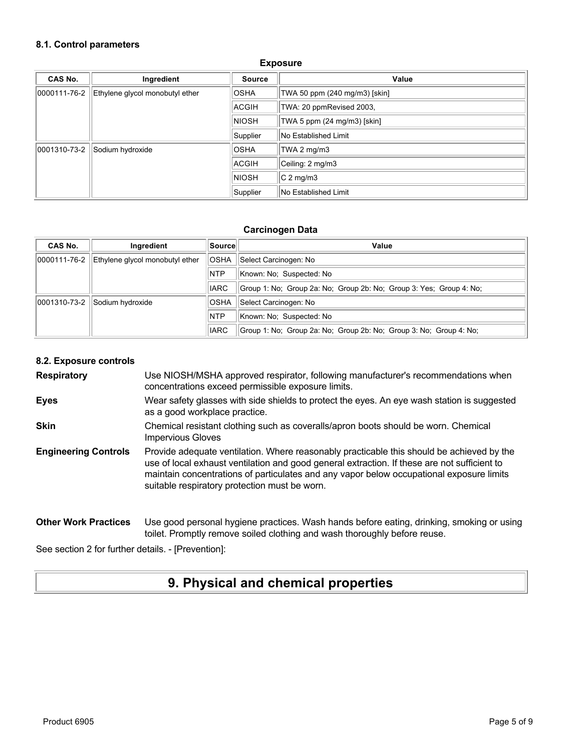#### **8.1. Control parameters**

| CAS No.      | Ingredient                      | <b>Source</b> | Value                         |
|--------------|---------------------------------|---------------|-------------------------------|
| 0000111-76-2 | Ethylene glycol monobutyl ether | <b>OSHA</b>   | TWA 50 ppm (240 mg/m3) [skin] |
|              |                                 | ACGIH         | TWA: 20 ppmRevised 2003,      |
|              |                                 | <b>NIOSH</b>  | TWA 5 ppm (24 mg/m3) [skin]   |
|              |                                 | Supplier      | No Established Limit          |
| 0001310-73-2 | Sodium hydroxide                | <b>OSHA</b>   | TWA 2 mg/m3                   |
|              |                                 | <b>ACGIH</b>  | Ceiling: 2 mg/m3              |
|              |                                 | <b>NIOSH</b>  | $C2$ mg/m3                    |
|              |                                 | Supplier      | No Established Limit          |

#### **Exposure**

#### **Carcinogen Data**

| CAS No.      | Ingredient                      | ∣Source∣    | Value                                                               |
|--------------|---------------------------------|-------------|---------------------------------------------------------------------|
| 0000111-76-2 | Ethylene givcol monobutyl ether | <b>OSHA</b> | Select Carcinogen: No                                               |
|              |                                 | <b>NTP</b>  | Known: No: Suspected: No                                            |
|              |                                 | <b>IARC</b> | Group 1: No; Group 2a: No; Group 2b: No; Group 3: Yes; Group 4: No; |
| 0001310-73-2 | Sodium hydroxide                | <b>OSHA</b> | Select Carcinogen: No                                               |
|              |                                 | <b>NTP</b>  | Known: No: Suspected: No                                            |
|              |                                 | <b>IARC</b> | Group 1: No; Group 2a: No; Group 2b: No; Group 3: No; Group 4: No;  |

#### **8.2. Exposure controls**

**Respiratory** Use NIOSH/MSHA approved respirator, following manufacturer's recommendations when concentrations exceed permissible exposure limits.

- **Eyes** Wear safety glasses with side shields to protect the eyes. An eye wash station is suggested as a good workplace practice.
- **Skin** Chemical resistant clothing such as coveralls/apron boots should be worn. Chemical Impervious Gloves
- **Engineering Controls** Provide adequate ventilation. Where reasonably practicable this should be achieved by the use of local exhaust ventilation and good general extraction. If these are not sufficient to maintain concentrations of particulates and any vapor below occupational exposure limits suitable respiratory protection must be worn.

#### **Other Work Practices** Use good personal hygiene practices. Wash hands before eating, drinking, smoking or using toilet. Promptly remove soiled clothing and wash thoroughly before reuse.

See section 2 for further details. - [Prevention]:

# **9. Physical and chemical properties**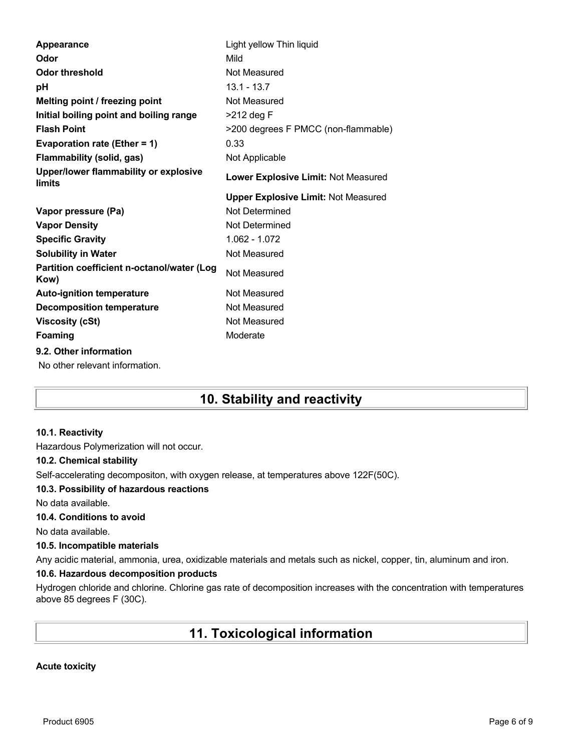| Appearance                                         | Light yellow Thin liquid                   |
|----------------------------------------------------|--------------------------------------------|
| Odor                                               | Mild                                       |
| <b>Odor threshold</b>                              | Not Measured                               |
| рH                                                 | $13.1 - 13.7$                              |
| Melting point / freezing point                     | Not Measured                               |
| Initial boiling point and boiling range            | $>212$ deg F                               |
| <b>Flash Point</b>                                 | >200 degrees F PMCC (non-flammable)        |
| Evaporation rate (Ether = 1)                       | 0.33                                       |
| <b>Flammability (solid, gas)</b>                   | Not Applicable                             |
| Upper/lower flammability or explosive<br>limits    | Lower Explosive Limit: Not Measured        |
|                                                    | <b>Upper Explosive Limit: Not Measured</b> |
|                                                    |                                            |
| Vapor pressure (Pa)                                | Not Determined                             |
| <b>Vapor Density</b>                               | Not Determined                             |
| <b>Specific Gravity</b>                            | 1.062 - 1.072                              |
| <b>Solubility in Water</b>                         | Not Measured                               |
| Partition coefficient n-octanol/water (Log<br>Kow) | Not Measured                               |
| <b>Auto-ignition temperature</b>                   | Not Measured                               |
| <b>Decomposition temperature</b>                   | Not Measured                               |
| <b>Viscosity (cSt)</b>                             | Not Measured                               |
| <b>Foaming</b>                                     | Moderate                                   |
| 9.2. Other information                             |                                            |

# **10. Stability and reactivity**

#### **10.1. Reactivity**

Hazardous Polymerization will not occur.

#### **10.2. Chemical stability**

Self-accelerating decompositon, with oxygen release, at temperatures above 122F(50C).

#### **10.3. Possibility of hazardous reactions**

No data available.

## **10.4. Conditions to avoid**

No data available.

#### **10.5. Incompatible materials**

Any acidic material, ammonia, urea, oxidizable materials and metals such as nickel, copper, tin, aluminum and iron.

## **10.6. Hazardous decomposition products**

Hydrogen chloride and chlorine. Chlorine gas rate of decomposition increases with the concentration with temperatures above 85 degrees F (30C).

# **11. Toxicological information**

## **Acute toxicity**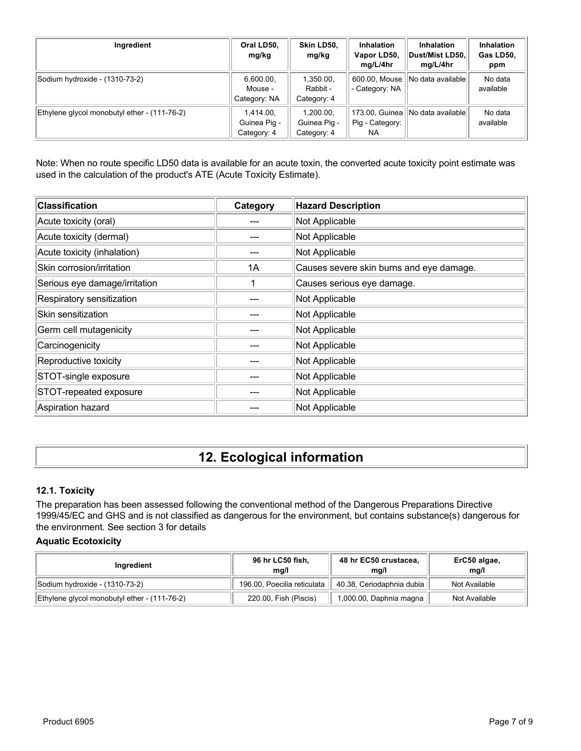| Ingredient                                   | Oral LD50,<br>mg/kg                      | Skin LD50,<br>mg/kg                      | <b>Inhalation</b><br>Vapor LD50,<br>mg/L/4hr | <b>Inhalation</b><br>Dust/Mist LD50,<br>mg/L/4hr | Inhalation<br>Gas LD50,<br>ppm |
|----------------------------------------------|------------------------------------------|------------------------------------------|----------------------------------------------|--------------------------------------------------|--------------------------------|
| Sodium hydroxide - (1310-73-2)               | 6,600.00,<br>Mouse -<br>Category: NA     | 1,350.00,<br>Rabbit -<br>Category: 4     | 600.00, Mouse<br>- Category: NA              | No data available                                | No data<br>available           |
| Ethylene glycol monobutyl ether - (111-76-2) | 1.414.00.<br>Guinea Pig -<br>Category: 4 | 1.200.00.<br>Guinea Pig -<br>Category: 4 | 173.00, Guinea<br>Pig - Category:<br>NA.     | INo data availablel                              | No data<br>available           |

Note: When no route specific LD50 data is available for an acute toxin, the converted acute toxicity point estimate was used in the calculation of the product's ATE (Acute Toxicity Estimate).

| <b>Classification</b>         | Category | <b>Hazard Description</b>                |
|-------------------------------|----------|------------------------------------------|
| Acute toxicity (oral)         |          | Not Applicable                           |
| Acute toxicity (dermal)       |          | Not Applicable                           |
| Acute toxicity (inhalation)   |          | Not Applicable                           |
| Skin corrosion/irritation     | 1A       | Causes severe skin burns and eye damage. |
| Serious eye damage/irritation |          | Causes serious eye damage.               |
| Respiratory sensitization     |          | Not Applicable                           |
| Skin sensitization            |          | Not Applicable                           |
| Germ cell mutagenicity        |          | Not Applicable                           |
| Carcinogenicity               |          | Not Applicable                           |
| Reproductive toxicity         |          | Not Applicable                           |
| STOT-single exposure          |          | Not Applicable                           |
| STOT-repeated exposure        |          | Not Applicable                           |
| Aspiration hazard             |          | Not Applicable                           |

# **12. Ecological information**

### **12.1. Toxicity**

The preparation has been assessed following the conventional method of the Dangerous Preparations Directive 1999/45/EC and GHS and is not classified as dangerous for the environment, but contains substance(s) dangerous for the environment. See section 3 for details

#### **Aquatic Ecotoxicity**

| Ingredient                                   | 96 hr LC50 fish,<br>ma/l    | 48 hr EC50 crustacea,<br>ma/l | ErC50 algae,<br>mq/l |
|----------------------------------------------|-----------------------------|-------------------------------|----------------------|
| Sodium hydroxide - (1310-73-2)               | 196.00, Poecilia reticulata | 40.38, Ceriodaphnia dubia     | Not Available        |
| Ethylene glycol monobutyl ether - (111-76-2) | 220.00, Fish (Piscis)       | 1,000.00, Daphnia magna       | Not Available        |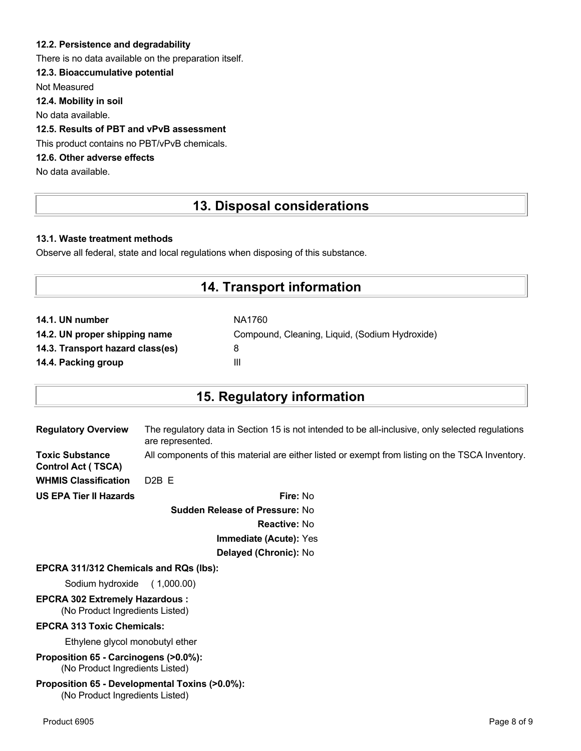### **12.2. Persistence and degradability**

There is no data available on the preparation itself.

## **12.3. Bioaccumulative potential**

Not Measured

**12.4. Mobility in soil**

No data available.

## **12.5. Results of PBT and vPvB assessment**

This product contains no PBT/vPvB chemicals.

# **12.6. Other adverse effects**

No data available.

# **13. Disposal considerations**

### **13.1. Waste treatment methods**

Observe all federal, state and local regulations when disposing of this substance.

# **14. Transport information**

| NA1760                                         |
|------------------------------------------------|
| Compound, Cleaning, Liquid, (Sodium Hydroxide) |
| 8                                              |
| Ш                                              |
|                                                |

# **15. Regulatory information**

| <b>Regulatory Overview</b>                          | The regulatory data in Section 15 is not intended to be all-inclusive, only selected regulations<br>are represented. |
|-----------------------------------------------------|----------------------------------------------------------------------------------------------------------------------|
| <b>Toxic Substance</b><br><b>Control Act (TSCA)</b> | All components of this material are either listed or exempt from listing on the TSCA Inventory.                      |
| <b>WHMIS Classification</b>                         | $D2B$ F                                                                                                              |
| <b>US EPA Tier II Hazards</b>                       | Fire: No                                                                                                             |
|                                                     |                                                                                                                      |

**Sudden Release of Pressure:** No **Reactive:** No **Immediate (Acute):** Yes **Delayed (Chronic):** No

#### **EPCRA 311/312 Chemicals and RQs (lbs):**

Sodium hydroxide ( 1,000.00)

# **EPCRA 302 Extremely Hazardous :**

(No Product Ingredients Listed)

#### **EPCRA 313 Toxic Chemicals:**

Ethylene glycol monobutyl ether

**Proposition 65 - Carcinogens (>0.0%):** (No Product Ingredients Listed)

#### **Proposition 65 - Developmental Toxins (>0.0%):** (No Product Ingredients Listed)